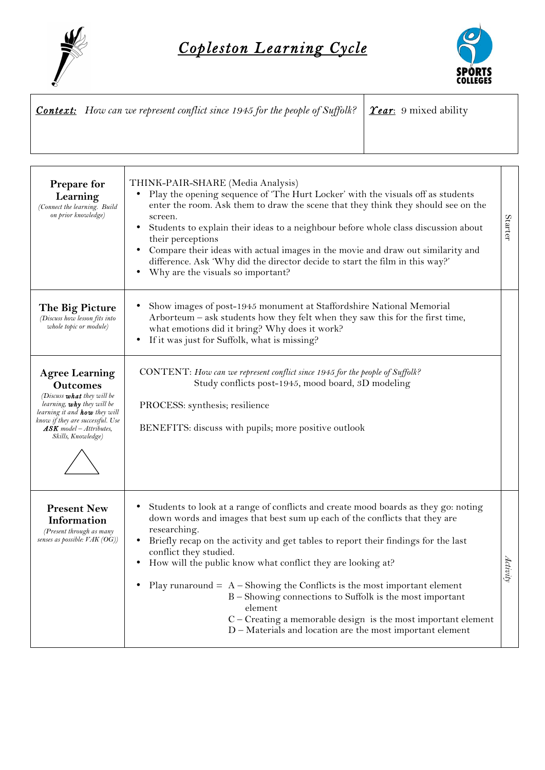



| <b>Context:</b> How can we represent conflict since 1945 for the people of Suffolk? $\frac{\Gamma}{\Gamma}$ <b>Tear</b> : 9 mixed ability |  |
|-------------------------------------------------------------------------------------------------------------------------------------------|--|
|                                                                                                                                           |  |

| Prepare for<br>Learning<br>(Connect the learning. Build<br>on prior knowledge)                                                                                                                                                                    | THINK-PAIR-SHARE (Media Analysis)<br>Play the opening sequence of 'The Hurt Locker' with the visuals off as students<br>enter the room. Ask them to draw the scene that they think they should see on the<br>screen.<br>Students to explain their ideas to a neighbour before whole class discussion about<br>$\bullet$<br>their perceptions<br>Compare their ideas with actual images in the movie and draw out similarity and<br>difference. Ask 'Why did the director decide to start the film in this way?'<br>Why are the visuals so important?<br>$\bullet$                                                                                                                 | <b>Starter</b> |
|---------------------------------------------------------------------------------------------------------------------------------------------------------------------------------------------------------------------------------------------------|-----------------------------------------------------------------------------------------------------------------------------------------------------------------------------------------------------------------------------------------------------------------------------------------------------------------------------------------------------------------------------------------------------------------------------------------------------------------------------------------------------------------------------------------------------------------------------------------------------------------------------------------------------------------------------------|----------------|
| The Big Picture<br>(Discuss how lesson fits into<br>whole topic or module)                                                                                                                                                                        | Show images of post-1945 monument at Staffordshire National Memorial<br>Arborteum - ask students how they felt when they saw this for the first time,<br>what emotions did it bring? Why does it work?<br>If it was just for Suffolk, what is missing?<br>٠                                                                                                                                                                                                                                                                                                                                                                                                                       |                |
| <b>Agree Learning</b><br><b>Outcomes</b><br>(Discuss <b>what</b> they will be<br>learning, <b>why</b> they will be<br>learning it and <b>how</b> they will<br>know if they are successful. Use<br>$ASK$ model - Attributes,<br>Skills, Knowledge) | CONTENT: How can we represent conflict since 1945 for the people of Suffolk?<br>Study conflicts post-1945, mood board, 3D modeling<br>PROCESS: synthesis; resilience<br>BENEFITS: discuss with pupils; more positive outlook                                                                                                                                                                                                                                                                                                                                                                                                                                                      |                |
| <b>Present New</b><br>Information<br>(Present through as many<br>senses as possible: VAK (OG))                                                                                                                                                    | Students to look at a range of conflicts and create mood boards as they go: noting<br>٠<br>down words and images that best sum up each of the conflicts that they are<br>researching.<br>Briefly recap on the activity and get tables to report their findings for the last<br>$\bullet$<br>conflict they studied.<br>How will the public know what conflict they are looking at?<br>$\bullet$<br>Play runaround $= A -$ Showing the Conflicts is the most important element<br>B – Showing connections to Suffolk is the most important<br>element<br>C - Creating a memorable design is the most important element<br>D - Materials and location are the most important element | Activity       |